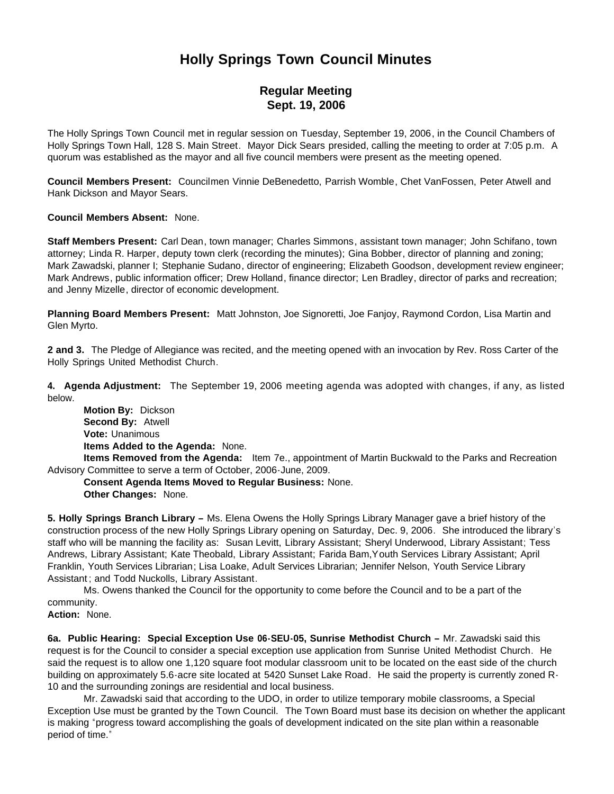# **Holly Springs Town Council Minutes**

## **Regular Meeting Sept. 19, 2006**

The Holly Springs Town Council met in regular session on Tuesday, September 19, 2006, in the Council Chambers of Holly Springs Town Hall, 128 S. Main Street. Mayor Dick Sears presided, calling the meeting to order at 7:05 p.m. A quorum was established as the mayor and all five council members were present as the meeting opened.

**Council Members Present:** Councilmen Vinnie DeBenedetto, Parrish Womble, Chet VanFossen, Peter Atwell and Hank Dickson and Mayor Sears.

**Council Members Absent:** None.

**Staff Members Present:** Carl Dean, town manager; Charles Simmons, assistant town manager; John Schifano, town attorney; Linda R. Harper, deputy town clerk (recording the minutes); Gina Bobber, director of planning and zoning; Mark Zawadski, planner I; Stephanie Sudano, director of engineering; Elizabeth Goodson, development review engineer; Mark Andrews, public information officer; Drew Holland, finance director; Len Bradley, director of parks and recreation; and Jenny Mizelle, director of economic development.

**Planning Board Members Present:** Matt Johnston, Joe Signoretti, Joe Fanjoy, Raymond Cordon, Lisa Martin and Glen Myrto.

**2 and 3.** The Pledge of Allegiance was recited, and the meeting opened with an invocation by Rev. Ross Carter of the Holly Springs United Methodist Church.

**4. Agenda Adjustment:** The September 19, 2006 meeting agenda was adopted with changes, if any, as listed below.

 **Motion By:** Dickson **Second By:** Atwell **Vote:** Unanimous **Items Added to the Agenda:** None.

 **Items Removed from the Agenda:** Item 7e., appointment of Martin Buckwald to the Parks and Recreation Advisory Committee to serve a term of October, 2006-June, 2009.

 **Consent Agenda Items Moved to Regular Business:** None. **Other Changes:** None.

**5. Holly Springs Branch Library –** Ms. Elena Owens the Holly Springs Library Manager gave a brief history of the construction process of the new Holly Springs Library opening on Saturday, Dec. 9, 2006. She introduced the library's staff who will be manning the facility as: Susan Levitt, Library Assistant; Sheryl Underwood, Library Assistant; Tess Andrews, Library Assistant; Kate Theobald, Library Assistant; Farida Bam,Youth Services Library Assistant; April Franklin, Youth Services Librarian; Lisa Loake, Adult Services Librarian; Jennifer Nelson, Youth Service Library Assistant ; and Todd Nuckolls, Library Assistant.

 Ms. Owens thanked the Council for the opportunity to come before the Council and to be a part of the community.

**Action:** None.

**6a. Public Hearing: Special Exception Use 06-SEU-05, Sunrise Methodist Church –** Mr. Zawadski said this request is for the Council to consider a special exception use application from Sunrise United Methodist Church. He said the request is to allow one 1,120 square foot modular classroom unit to be located on the east side of the church building on approximately 5.6-acre site located at 5420 Sunset Lake Road. He said the property is currently zoned R-10 and the surrounding zonings are residential and local business.

 Mr. Zawadski said that according to the UDO, in order to utilize temporary mobile classrooms, a Special Exception Use must be granted by the Town Council. The Town Board must base its decision on whether the applicant is making "progress toward accomplishing the goals of development indicated on the site plan within a reasonable period of time."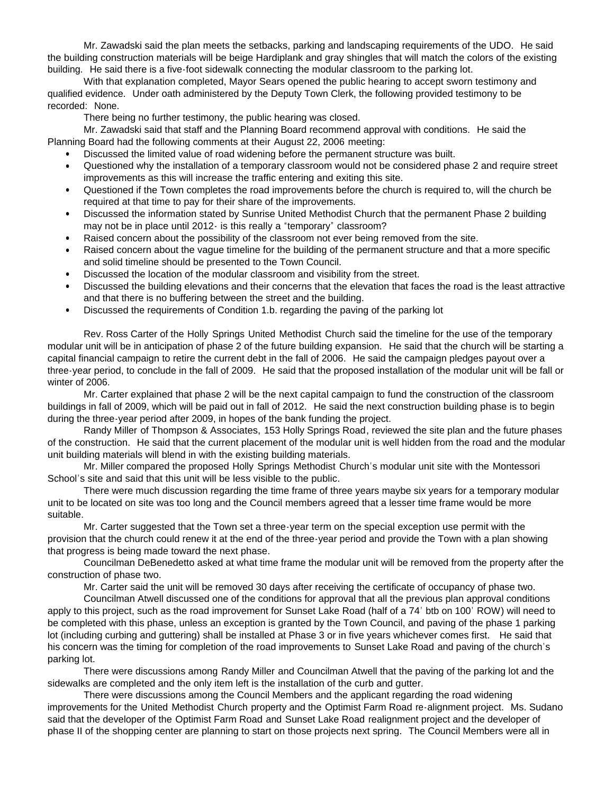Mr. Zawadski said the plan meets the setbacks, parking and landscaping requirements of the UDO. He said the building construction materials will be beige Hardiplank and gray shingles that will match the colors of the existing building. He said there is a five-foot sidewalk connecting the modular classroom to the parking lot.

With that explanation completed, Mayor Sears opened the public hearing to accept sworn testimony and qualified evidence. Under oath administered by the Deputy Town Clerk, the following provided testimony to be recorded: None.

There being no further testimony, the public hearing was closed.

Mr. Zawadski said that staff and the Planning Board recommend approval with conditions. He said the Planning Board had the following comments at their August 22, 2006 meeting:

- Discussed the limited value of road widening before the permanent structure was built.
- Questioned why the installation of a temporary classroom would not be considered phase 2 and require street improvements as this will increase the traffic entering and exiting this site.
- Questioned if the Town completes the road improvements before the church is required to, will the church be required at that time to pay for their share of the improvements.
- Discussed the information stated by Sunrise United Methodist Church that the permanent Phase 2 building may not be in place until 2012- is this really a "temporary" classroom?
- Raised concern about the possibility of the classroom not ever being removed from the site.
- Raised concern about the vague timeline for the building of the permanent structure and that a more specific and solid timeline should be presented to the Town Council.
- Discussed the location of the modular classroom and visibility from the street.
- Discussed the building elevations and their concerns that the elevation that faces the road is the least attractive and that there is no buffering between the street and the building.
- Discussed the requirements of Condition 1.b. regarding the paving of the parking lot

Rev. Ross Carter of the Holly Springs United Methodist Church said the timeline for the use of the temporary modular unit will be in anticipation of phase 2 of the future building expansion. He said that the church will be starting a capital financial campaign to retire the current debt in the fall of 2006. He said the campaign pledges payout over a three-year period, to conclude in the fall of 2009. He said that the proposed installation of the modular unit will be fall or winter of 2006.

Mr. Carter explained that phase 2 will be the next capital campaign to fund the construction of the classroom buildings in fall of 2009, which will be paid out in fall of 2012. He said the next construction building phase is to begin during the three-year period after 2009, in hopes of the bank funding the project.

Randy Miller of Thompson & Associates, 153 Holly Springs Road, reviewed the site plan and the future phases of the construction. He said that the current placement of the modular unit is well hidden from the road and the modular unit building materials will blend in with the existing building materials.

Mr. Miller compared the proposed Holly Springs Methodist Church's modular unit site with the Montessori School's site and said that this unit will be less visible to the public.

There were much discussion regarding the time frame of three years maybe six years for a temporary modular unit to be located on site was too long and the Council members agreed that a lesser time frame would be more suitable.

Mr. Carter suggested that the Town set a three-year term on the special exception use permit with the provision that the church could renew it at the end of the three-year period and provide the Town with a plan showing that progress is being made toward the next phase.

Councilman DeBenedetto asked at what time frame the modular unit will be removed from the property after the construction of phase two.

Mr. Carter said the unit will be removed 30 days after receiving the certificate of occupancy of phase two.

Councilman Atwell discussed one of the conditions for approval that all the previous plan approval conditions apply to this project, such as the road improvement for Sunset Lake Road (half of a 74' btb on 100' ROW) will need to be completed with this phase, unless an exception is granted by the Town Council, and paving of the phase 1 parking lot (including curbing and guttering) shall be installed at Phase 3 or in five years whichever comes first. He said that his concern was the timing for completion of the road improvements to Sunset Lake Road and paving of the church's parking lot.

There were discussions among Randy Miller and Councilman Atwell that the paving of the parking lot and the sidewalks are completed and the only item left is the installation of the curb and gutter.

There were discussions among the Council Members and the applicant regarding the road widening improvements for the United Methodist Church property and the Optimist Farm Road re-alignment project. Ms. Sudano said that the developer of the Optimist Farm Road and Sunset Lake Road realignment project and the developer of phase II of the shopping center are planning to start on those projects next spring. The Council Members were all in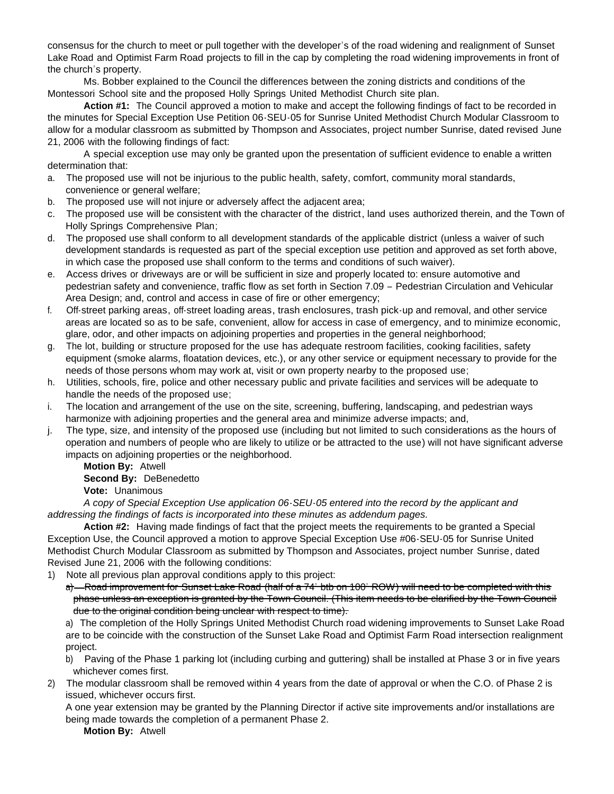consensus for the church to meet or pull together with the developer's of the road widening and realignment of Sunset Lake Road and Optimist Farm Road projects to fill in the cap by completing the road widening improvements in front of the church's property.

Ms. Bobber explained to the Council the differences between the zoning districts and conditions of the Montessori School site and the proposed Holly Springs United Methodist Church site plan.

**Action #1:** The Council approved a motion to make and accept the following findings of fact to be recorded in the minutes for Special Exception Use Petition 06-SEU-05 for Sunrise United Methodist Church Modular Classroom to allow for a modular classroom as submitted by Thompson and Associates, project number Sunrise, dated revised June 21, 2006 with the following findings of fact:

 A special exception use may only be granted upon the presentation of sufficient evidence to enable a written determination that:

- a. The proposed use will not be injurious to the public health, safety, comfort, community moral standards, convenience or general welfare;
- b. The proposed use will not injure or adversely affect the adjacent area;
- c. The proposed use will be consistent with the character of the district, land uses authorized therein, and the Town of Holly Springs Comprehensive Plan;
- d. The proposed use shall conform to all development standards of the applicable district (unless a waiver of such development standards is requested as part of the special exception use petition and approved as set forth above, in which case the proposed use shall conform to the terms and conditions of such waiver).
- e. Access drives or driveways are or will be sufficient in size and properly located to: ensure automotive and pedestrian safety and convenience, traffic flow as set forth in Section 7.09 – Pedestrian Circulation and Vehicular Area Design; and, control and access in case of fire or other emergency;
- f. Off-street parking areas, off-street loading areas, trash enclosures, trash pick-up and removal, and other service areas are located so as to be safe, convenient, allow for access in case of emergency, and to minimize economic, glare, odor, and other impacts on adjoining properties and properties in the general neighborhood;
- g. The lot, building or structure proposed for the use has adequate restroom facilities, cooking facilities, safety equipment (smoke alarms, floatation devices, etc.), or any other service or equipment necessary to provide for the needs of those persons whom may work at, visit or own property nearby to the proposed use;
- h. Utilities, schools, fire, police and other necessary public and private facilities and services will be adequate to handle the needs of the proposed use;
- i. The location and arrangement of the use on the site, screening, buffering, landscaping, and pedestrian ways harmonize with adjoining properties and the general area and minimize adverse impacts; and,
- j. The type, size, and intensity of the proposed use (including but not limited to such considerations as the hours of operation and numbers of people who are likely to utilize or be attracted to the use) will not have significant adverse impacts on adjoining properties or the neighborhood.

**Motion By:** Atwell **Second By:** DeBenedetto **Vote:** Unanimous

*A copy of Special Exception Use application 06-SEU-05 entered into the record by the applicant and addressing the findings of facts is incorporated into these minutes as addendum pages.*

 **Action #2:** Having made findings of fact that the project meets the requirements to be granted a Special Exception Use, the Council approved a motion to approve Special Exception Use #06-SEU-05 for Sunrise United Methodist Church Modular Classroom as submitted by Thompson and Associates, project number Sunrise, dated Revised June 21, 2006 with the following conditions:

- 1) Note all previous plan approval conditions apply to this project:
	- a) Road improvement for Sunset Lake Road (half of a 74' btb on 100' ROW) will need to be completed with this phase unless an exception is granted by the Town Council. (This item needs to be clarified by the Town Council due to the original condition being unclear with respect to time).

a) The completion of the Holly Springs United Methodist Church road widening improvements to Sunset Lake Road are to be coincide with the construction of the Sunset Lake Road and Optimist Farm Road intersection realignment project.

- b) Paving of the Phase 1 parking lot (including curbing and guttering) shall be installed at Phase 3 or in five years whichever comes first.
- 2) The modular classroom shall be removed within 4 years from the date of approval or when the C.O. of Phase 2 is issued, whichever occurs first.

A one year extension may be granted by the Planning Director if active site improvements and/or installations are being made towards the completion of a permanent Phase 2.

**Motion By:** Atwell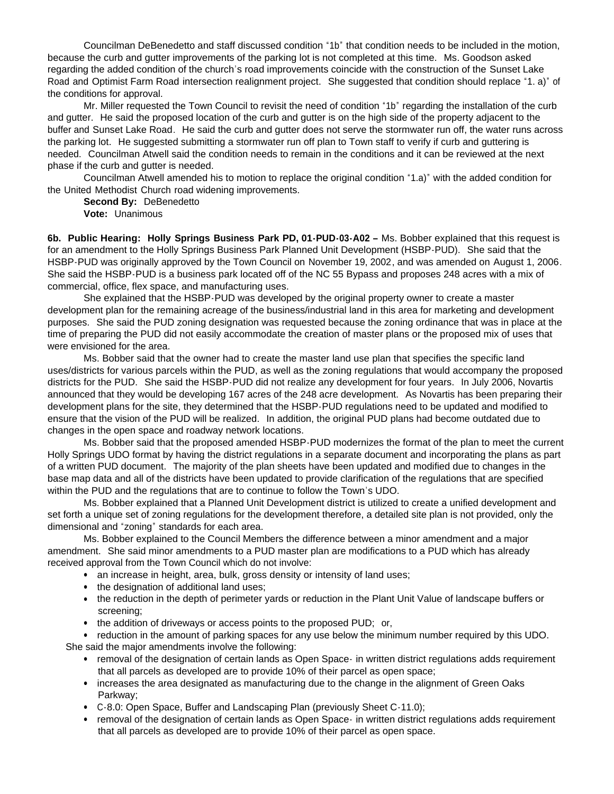Councilman DeBenedetto and staff discussed condition "1b" that condition needs to be included in the motion, because the curb and gutter improvements of the parking lot is not completed at this time. Ms. Goodson asked regarding the added condition of the church's road improvements coincide with the construction of the Sunset Lake Road and Optimist Farm Road intersection realignment project. She suggested that condition should replace "1. a)" of the conditions for approval.

Mr. Miller requested the Town Council to revisit the need of condition "1b" regarding the installation of the curb and gutter. He said the proposed location of the curb and gutter is on the high side of the property adjacent to the buffer and Sunset Lake Road. He said the curb and gutter does not serve the stormwater run off, the water runs across the parking lot. He suggested submitting a stormwater run off plan to Town staff to verify if curb and guttering is needed. Councilman Atwell said the condition needs to remain in the conditions and it can be reviewed at the next phase if the curb and gutter is needed.

Councilman Atwell amended his to motion to replace the original condition "1.a)" with the added condition for the United Methodist Church road widening improvements.

**Second By:** DeBenedetto **Vote:** Unanimous

**6b. Public Hearing: Holly Springs Business Park PD, 01-PUD-03-A02 –** Ms. Bobber explained that this request is for an amendment to the Holly Springs Business Park Planned Unit Development (HSBP-PUD). She said that the HSBP-PUD was originally approved by the Town Council on November 19, 2002, and was amended on August 1, 2006. She said the HSBP-PUD is a business park located off of the NC 55 Bypass and proposes 248 acres with a mix of commercial, office, flex space, and manufacturing uses.

She explained that the HSBP-PUD was developed by the original property owner to create a master development plan for the remaining acreage of the business/industrial land in this area for marketing and development purposes. She said the PUD zoning designation was requested because the zoning ordinance that was in place at the time of preparing the PUD did not easily accommodate the creation of master plans or the proposed mix of uses that were envisioned for the area.

Ms. Bobber said that the owner had to create the master land use plan that specifies the specific land uses/districts for various parcels within the PUD, as well as the zoning regulations that would accompany the proposed districts for the PUD. She said the HSBP-PUD did not realize any development for four years. In July 2006, Novartis announced that they would be developing 167 acres of the 248 acre development. As Novartis has been preparing their development plans for the site, they determined that the HSBP-PUD regulations need to be updated and modified to ensure that the vision of the PUD will be realized. In addition, the original PUD plans had become outdated due to changes in the open space and roadway network locations.

Ms. Bobber said that the proposed amended HSBP-PUD modernizes the format of the plan to meet the current Holly Springs UDO format by having the district regulations in a separate document and incorporating the plans as part of a written PUD document. The majority of the plan sheets have been updated and modified due to changes in the base map data and all of the districts have been updated to provide clarification of the regulations that are specified within the PUD and the regulations that are to continue to follow the Town's UDO.

Ms. Bobber explained that a Planned Unit Development district is utilized to create a unified development and set forth a unique set of zoning regulations for the development therefore, a detailed site plan is not provided, only the dimensional and "zoning" standards for each area.

Ms. Bobber explained to the Council Members the difference between a minor amendment and a major amendment. She said minor amendments to a PUD master plan are modifications to a PUD which has already received approval from the Town Council which do not involve:

- an increase in height, area, bulk, gross density or intensity of land uses;
- the designation of additional land uses;
- the reduction in the depth of perimeter yards or reduction in the Plant Unit Value of landscape buffers or screening;
- the addition of driveways or access points to the proposed PUD; or,

• reduction in the amount of parking spaces for any use below the minimum number required by this UDO. She said the major amendments involve the following:

- removal of the designation of certain lands as Open Space in written district regulations adds requirement that all parcels as developed are to provide 10% of their parcel as open space;
- increases the area designated as manufacturing due to the change in the alignment of Green Oaks Parkway;
- C-8.0: Open Space, Buffer and Landscaping Plan (previously Sheet C-11.0);
- removal of the designation of certain lands as Open Space- in written district regulations adds requirement that all parcels as developed are to provide 10% of their parcel as open space.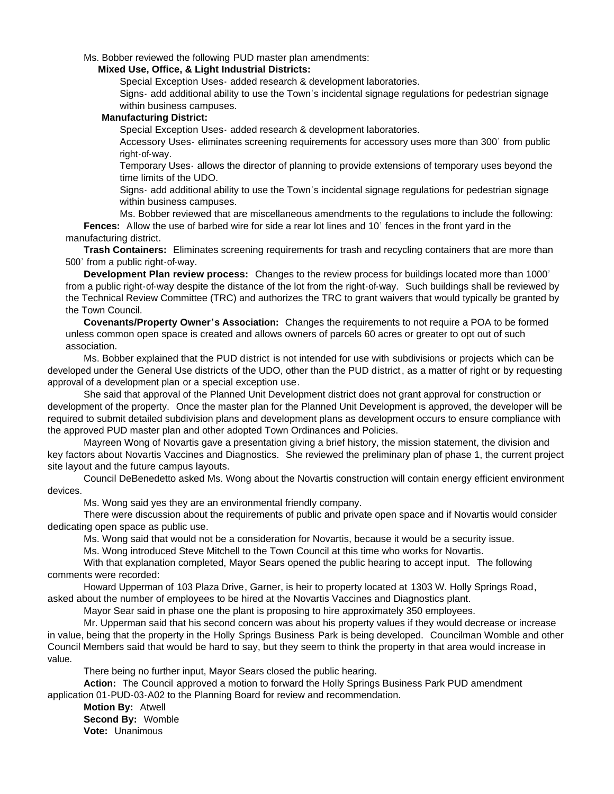Ms. Bobber reviewed the following PUD master plan amendments:

#### **Mixed Use, Office, & Light Industrial Districts:**

Special Exception Uses- added research & development laboratories.

Signs- add additional ability to use the Town's incidental signage regulations for pedestrian signage within business campuses.

#### **Manufacturing District:**

Special Exception Uses- added research & development laboratories.

Accessory Uses- eliminates screening requirements for accessory uses more than 300' from public right-of-way.

Temporary Uses- allows the director of planning to provide extensions of temporary uses beyond the time limits of the UDO.

Signs- add additional ability to use the Town's incidental signage regulations for pedestrian signage within business campuses.

Ms. Bobber reviewed that are miscellaneous amendments to the regulations to include the following: **Fences:** Allow the use of barbed wire for side a rear lot lines and 10' fences in the front yard in the manufacturing district.

**Trash Containers:** Eliminates screening requirements for trash and recycling containers that are more than 500' from a public right-of-way.

**Development Plan review process:** Changes to the review process for buildings located more than 1000' from a public right-of-way despite the distance of the lot from the right-of-way. Such buildings shall be reviewed by the Technical Review Committee (TRC) and authorizes the TRC to grant waivers that would typically be granted by the Town Council.

**Covenants/Property Owner's Association:** Changes the requirements to not require a POA to be formed unless common open space is created and allows owners of parcels 60 acres or greater to opt out of such association.

Ms. Bobber explained that the PUD district is not intended for use with subdivisions or projects which can be developed under the General Use districts of the UDO, other than the PUD district, as a matter of right or by requesting approval of a development plan or a special exception use.

She said that approval of the Planned Unit Development district does not grant approval for construction or development of the property. Once the master plan for the Planned Unit Development is approved, the developer will be required to submit detailed subdivision plans and development plans as development occurs to ensure compliance with the approved PUD master plan and other adopted Town Ordinances and Policies.

 Mayreen Wong of Novartis gave a presentation giving a brief history, the mission statement, the division and key factors about Novartis Vaccines and Diagnostics. She reviewed the preliminary plan of phase 1, the current project site layout and the future campus layouts.

Council DeBenedetto asked Ms. Wong about the Novartis construction will contain energy efficient environment devices.

Ms. Wong said yes they are an environmental friendly company.

There were discussion about the requirements of public and private open space and if Novartis would consider dedicating open space as public use.

Ms. Wong said that would not be a consideration for Novartis, because it would be a security issue.

Ms. Wong introduced Steve Mitchell to the Town Council at this time who works for Novartis.

With that explanation completed, Mayor Sears opened the public hearing to accept input. The following comments were recorded:

Howard Upperman of 103 Plaza Drive, Garner, is heir to property located at 1303 W. Holly Springs Road, asked about the number of employees to be hired at the Novartis Vaccines and Diagnostics plant.

Mayor Sear said in phase one the plant is proposing to hire approximately 350 employees.

Mr. Upperman said that his second concern was about his property values if they would decrease or increase in value, being that the property in the Holly Springs Business Park is being developed. Councilman Womble and other Council Members said that would be hard to say, but they seem to think the property in that area would increase in value.

There being no further input, Mayor Sears closed the public hearing.

 **Action:** The Council approved a motion to forward the Holly Springs Business Park PUD amendment application 01-PUD-03-A02 to the Planning Board for review and recommendation.

 **Motion By:** Atwell **Second By:** Womble

**Vote:** Unanimous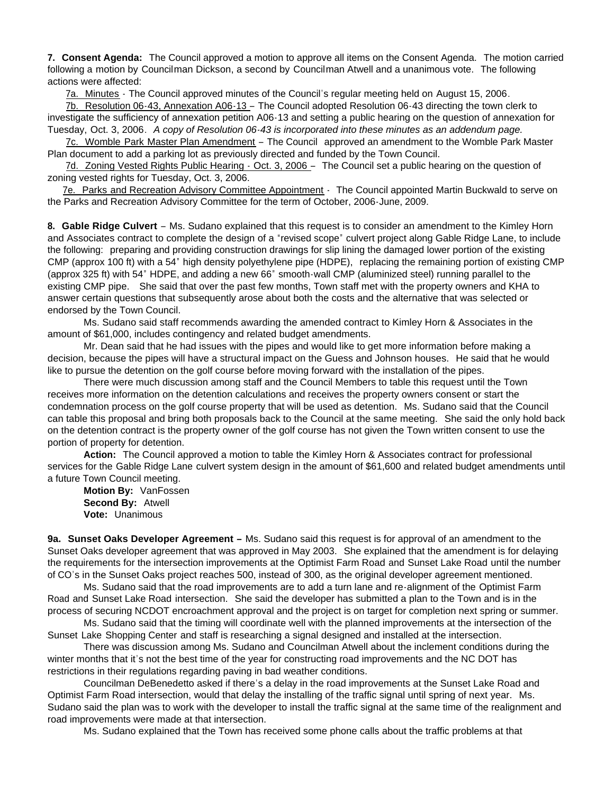**7. Consent Agenda:** The Council approved a motion to approve all items on the Consent Agenda. The motion carried following a motion by Councilman Dickson, a second by Councilman Atwell and a unanimous vote. The following actions were affected:

7a. Minutes - The Council approved minutes of the Council's regular meeting held on August 15, 2006.

 7b. Resolution 06-43, Annexation A06-13 – The Council adopted Resolution 06-43 directing the town clerk to investigate the sufficiency of annexation petition A06-13 and setting a public hearing on the question of annexation for Tuesday, Oct. 3, 2006. *A copy of Resolution 06-43 is incorporated into these minutes as an addendum page.*

 7c. Womble Park Master Plan Amendment – The Council approved an amendment to the Womble Park Master Plan document to add a parking lot as previously directed and funded by the Town Council.

7d. Zoning Vested Rights Public Hearing - Oct. 3, 2006 – The Council set a public hearing on the question of zoning vested rights for Tuesday, Oct. 3, 2006.

7e. Parks and Recreation Advisory Committee Appointment - The Council appointed Martin Buckwald to serve on the Parks and Recreation Advisory Committee for the term of October, 2006-June, 2009.

**8. Gable Ridge Culvert** – Ms. Sudano explained that this request is to consider an amendment to the Kimley Horn and Associates contract to complete the design of a "revised scope" culvert project along Gable Ridge Lane, to include the following: preparing and providing construction drawings for slip lining the damaged lower portion of the existing CMP (approx 100 ft) with a 54" high density polyethylene pipe (HDPE), replacing the remaining portion of existing CMP (approx 325 ft) with 54" HDPE, and adding a new 66" smooth-wall CMP (aluminized steel) running parallel to the existing CMP pipe. She said that over the past few months, Town staff met with the property owners and KHA to answer certain questions that subsequently arose about both the costs and the alternative that was selected or endorsed by the Town Council.

 Ms. Sudano said staff recommends awarding the amended contract to Kimley Horn & Associates in the amount of \$61,000, includes contingency and related budget amendments.

 Mr. Dean said that he had issues with the pipes and would like to get more information before making a decision, because the pipes will have a structural impact on the Guess and Johnson houses. He said that he would like to pursue the detention on the golf course before moving forward with the installation of the pipes.

 There were much discussion among staff and the Council Members to table this request until the Town receives more information on the detention calculations and receives the property owners consent or start the condemnation process on the golf course property that will be used as detention. Ms. Sudano said that the Council can table this proposal and bring both proposals back to the Council at the same meeting. She said the only hold back on the detention contract is the property owner of the golf course has not given the Town written consent to use the portion of property for detention.

 **Action:** The Council approved a motion to table the Kimley Horn & Associates contract for professional services for the Gable Ridge Lane culvert system design in the amount of \$61,600 and related budget amendments until a future Town Council meeting.

**Motion By:** VanFossen **Second By:** Atwell **Vote:** Unanimous

**9a. Sunset Oaks Developer Agreement –** Ms. Sudano said this request is for approval of an amendment to the Sunset Oaks developer agreement that was approved in May 2003. She explained that the amendment is for delaying the requirements for the intersection improvements at the Optimist Farm Road and Sunset Lake Road until the number of CO's in the Sunset Oaks project reaches 500, instead of 300, as the original developer agreement mentioned.

 Ms. Sudano said that the road improvements are to add a turn lane and re-alignment of the Optimist Farm Road and Sunset Lake Road intersection. She said the developer has submitted a plan to the Town and is in the process of securing NCDOT encroachment approval and the project is on target for completion next spring or summer.

Ms. Sudano said that the timing will coordinate well with the planned improvements at the intersection of the Sunset Lake Shopping Center and staff is researching a signal designed and installed at the intersection.

 There was discussion among Ms. Sudano and Councilman Atwell about the inclement conditions during the winter months that it's not the best time of the year for constructing road improvements and the NC DOT has restrictions in their regulations regarding paving in bad weather conditions.

 Councilman DeBenedetto asked if there's a delay in the road improvements at the Sunset Lake Road and Optimist Farm Road intersection, would that delay the installing of the traffic signal until spring of next year. Ms. Sudano said the plan was to work with the developer to install the traffic signal at the same time of the realignment and road improvements were made at that intersection.

Ms. Sudano explained that the Town has received some phone calls about the traffic problems at that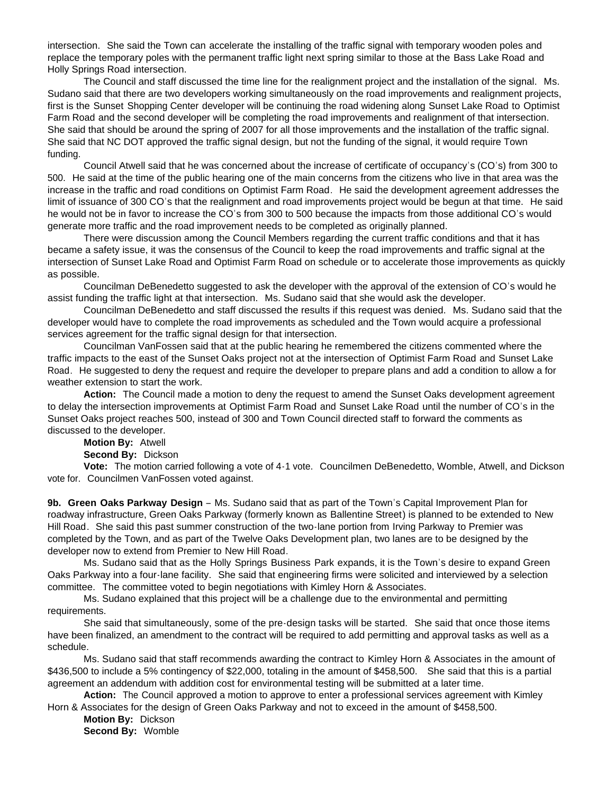intersection. She said the Town can accelerate the installing of the traffic signal with temporary wooden poles and replace the temporary poles with the permanent traffic light next spring similar to those at the Bass Lake Road and Holly Springs Road intersection.

The Council and staff discussed the time line for the realignment project and the installation of the signal. Ms. Sudano said that there are two developers working simultaneously on the road improvements and realignment projects, first is the Sunset Shopping Center developer will be continuing the road widening along Sunset Lake Road to Optimist Farm Road and the second developer will be completing the road improvements and realignment of that intersection. She said that should be around the spring of 2007 for all those improvements and the installation of the traffic signal. She said that NC DOT approved the traffic signal design, but not the funding of the signal, it would require Town funding.

Council Atwell said that he was concerned about the increase of certificate of occupancy's (CO's) from 300 to 500. He said at the time of the public hearing one of the main concerns from the citizens who live in that area was the increase in the traffic and road conditions on Optimist Farm Road. He said the development agreement addresses the limit of issuance of 300 CO's that the realignment and road improvements project would be begun at that time. He said he would not be in favor to increase the CO's from 300 to 500 because the impacts from those additional CO's would generate more traffic and the road improvement needs to be completed as originally planned.

There were discussion among the Council Members regarding the current traffic conditions and that it has became a safety issue, it was the consensus of the Council to keep the road improvements and traffic signal at the intersection of Sunset Lake Road and Optimist Farm Road on schedule or to accelerate those improvements as quickly as possible.

Councilman DeBenedetto suggested to ask the developer with the approval of the extension of CO's would he assist funding the traffic light at that intersection. Ms. Sudano said that she would ask the developer.

Councilman DeBenedetto and staff discussed the results if this request was denied. Ms. Sudano said that the developer would have to complete the road improvements as scheduled and the Town would acquire a professional services agreement for the traffic signal design for that intersection.

Councilman VanFossen said that at the public hearing he remembered the citizens commented where the traffic impacts to the east of the Sunset Oaks project not at the intersection of Optimist Farm Road and Sunset Lake Road. He suggested to deny the request and require the developer to prepare plans and add a condition to allow a for weather extension to start the work.

**Action:** The Council made a motion to deny the request to amend the Sunset Oaks development agreement to delay the intersection improvements at Optimist Farm Road and Sunset Lake Road until the number of CO's in the Sunset Oaks project reaches 500, instead of 300 and Town Council directed staff to forward the comments as discussed to the developer.

**Motion By:** Atwell

**Second By:** Dickson

 **Vote:** The motion carried following a vote of 4-1 vote. Councilmen DeBenedetto, Womble, Atwell, and Dickson vote for. Councilmen VanFossen voted against.

**9b. Green Oaks Parkway Design** – Ms. Sudano said that as part of the Town's Capital Improvement Plan for roadway infrastructure, Green Oaks Parkway (formerly known as Ballentine Street) is planned to be extended to New Hill Road. She said this past summer construction of the two-lane portion from Irving Parkway to Premier was completed by the Town, and as part of the Twelve Oaks Development plan, two lanes are to be designed by the developer now to extend from Premier to New Hill Road.

 Ms. Sudano said that as the Holly Springs Business Park expands, it is the Town's desire to expand Green Oaks Parkway into a four-lane facility. She said that engineering firms were solicited and interviewed by a selection committee. The committee voted to begin negotiations with Kimley Horn & Associates.

 Ms. Sudano explained that this project will be a challenge due to the environmental and permitting requirements.

 She said that simultaneously, some of the pre-design tasks will be started. She said that once those items have been finalized, an amendment to the contract will be required to add permitting and approval tasks as well as a schedule.

Ms. Sudano said that staff recommends awarding the contract to Kimley Horn & Associates in the amount of \$436,500 to include a 5% contingency of \$22,000, totaling in the amount of \$458,500. She said that this is a partial agreement an addendum with addition cost for environmental testing will be submitted at a later time.

**Action:** The Council approved a motion to approve to enter a professional services agreement with Kimley Horn & Associates for the design of Green Oaks Parkway and not to exceed in the amount of \$458,500.

**Motion By:** Dickson **Second By:** Womble